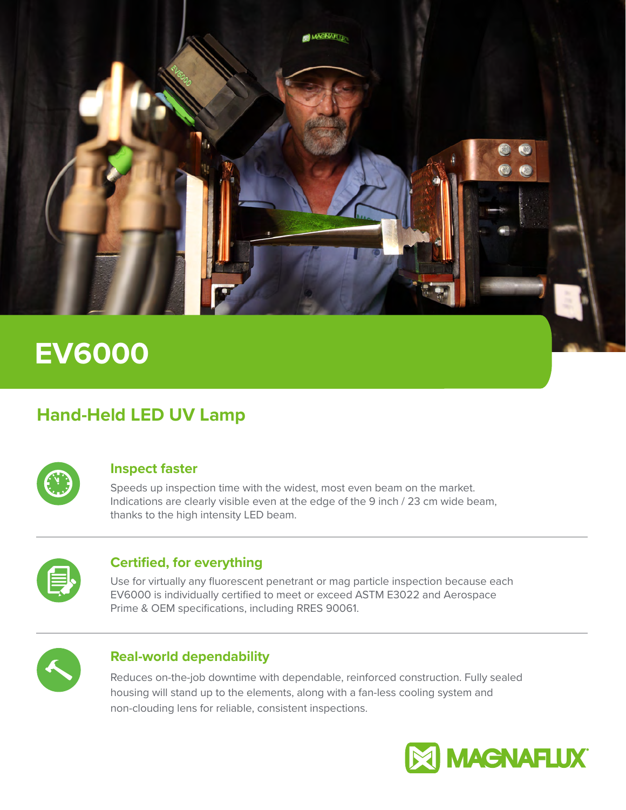

# **EV6000**

## **Hand-Held LED UV Lamp**



#### **Inspect faster**

Speeds up inspection time with the widest, most even beam on the market. Indications are clearly visible even at the edge of the 9 inch / 23 cm wide beam, thanks to the high intensity LED beam.

| $\frac{1}{2}$ |  |
|---------------|--|
|               |  |

#### **Certified, for everything**

Use for virtually any fluorescent penetrant or mag particle inspection because each EV6000 is individually certified to meet or exceed ASTM E3022 and Aerospace Prime & OEM specifications, including RRES 90061.



### **Real-world dependability**

Reduces on-the-job downtime with dependable, reinforced construction. Fully sealed housing will stand up to the elements, along with a fan-less cooling system and non-clouding lens for reliable, consistent inspections.